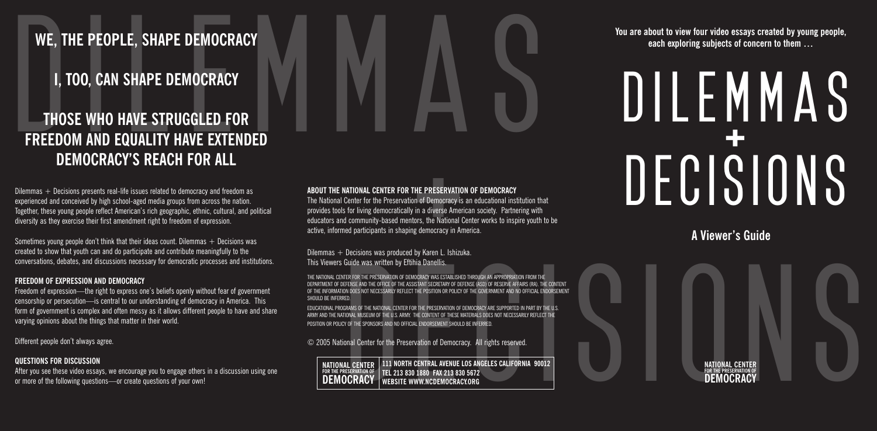# **WE, THE PEOPLE, SHAPE DEMOCRACY**

# **I, TOO, CAN SHAPE DEMOCRACY**

# **THOSE WHO HAVE STRUGGLED FOR FREEDOM AND EQUALITY HAVE EXTENDED DEMOCRACY'S REACH FOR ALL**

Dilemmas  $+$  Decisions presents real-life issues related to democracy and freedom as experienced and conceived by high school-aged media groups from across the nation. Together, these young people reflect American's rich geographic, ethnic, cultural, and political diversity as they exercise their first amendment right to freedom of expression.

Sometimes young people don't think that their ideas count. Dilemmas  $+$  Decisions was created to show that youth can and do participate and contribute meaningfully to the conversations, debates, and discussions necessary for democratic processes and institutions.

#### **FREEDOM OF EXPRESSION AND DEMOCRACY**

Freedom of expression—the right to express one's beliefs openly without fear of government censorship or persecution—is central to our understanding of democracy in America. This form of government is complex and often messy as it allows different people to have and share varying opinions about the things that matter in their world.

Different people don't always agree.

#### **QUESTIONS FOR DISCUSSION**

After you see these video essays, we encourage you to engage others in a discussion using one or more of the following questions—or create questions of your own!

# WE, THE PEOPLE, SHAPE DEMOCRACY<br>
I, TOO, CAN SHAPE DEMOCRACY<br>
THOSE WHO HAVE STRUGGLED FOR<br>
FREEDOM AND EQUALITY HAVE EXTENDED<br>
DEMOCRACY'S REACH FOR ALL **HE PRESERVATIC**<br>**HE PRESERVATIC**<br>in a diverse Amerors, the National<br>g democracy in Ar<br>by Karen L. Ishizu<br>ia Danellis.<br>ocracy was estabushe<br>stant secretary of De

#### **ABOUT THE NATIONAL CENTER FOR THE PRESERVATION OF DEMOCRACY**

The National Center for the Preservation of Democracy is an educational institution that provides tools for living democratically in a diverse American society. Partnering with educators and community-based mentors, the National Center works to inspire youth to be active, informed participants in shaping democracy in America.

Dilemmas + Decisions was produced by Karen L. Ishizuka. This Viewers Guide was written by Eftihia Danellis.

THE NATIONAL CENTER FOR THE PRESERVATION OF DEMOCRACY WAS ESTABLISHED THROUGH AN APPROPRIATION FROM THI DEPARTMENT OF DEFENSE AND THE OFFICE OF THE ASSISTANT SECRETARY OF DEFENSE (ASD) OF RESERVE AFFAIRS (RA). THE CONTENT OF THE INFORMATION DOES NOT NECESSARILY REFLECT THE POSITION OR POLICY OF THE GOVERNMENT AND NO OFFICIAL ENDORSEMENT SHOULD BE INFERRED.

EDUCATIONAL PROGRAMS OF THE NATIONAL CENTER FOR THE PRESERVATION OF DEMOCRACY ARE SUPPORTED IN PART BY THE U.S. ARMY AND THE NATIONAL MUSEUM OF THE U.S. ARMY. THE CONTENT OF THESE MATERIALS DOES NOT NECESSARILY REFLECT THE POSITION OR POLICY OF THE SPONSORS AND NO OFFICIAL ENDORSEMENT SHOULD BE INFERRED.

© 2005 National Center for the Preservation of Democracy. All rights reserved.

**111 NORTH CENTRAL AVENUE LOS ANGELES CALIFORNIA 90012 TEL 213 830 1880 FAX 213 830 5672** WEBSITE WWW.NCDEMOCRACY.ORG **NATIONAL CENTER FOR THE PRESERVATION OF DEMOCRACY**

**You are about to view four video essays created by young people, each exploring subjects of concern to them …**

# MIONAL CRITER FOR THE PRESERVATION OF DEMOCRACY<br>
Curious CENTRE FOR THE PRESERVATION OF DEMOCRACY<br>
CURIOUS CHARGES IN AN OFFICE AND CONTRACT CHARGES<br>
CURIOUS CHARGES IN A STRUCTURE CONTRACT CONTRACT CONTRACT CONTRACT CONTR DILEMMAS M<br>+<br>0 DECISIONS

**A Viewer's Guide**

**NATIONAL CENTER FOR THE PRESERVATION OF DEMOCRACY**